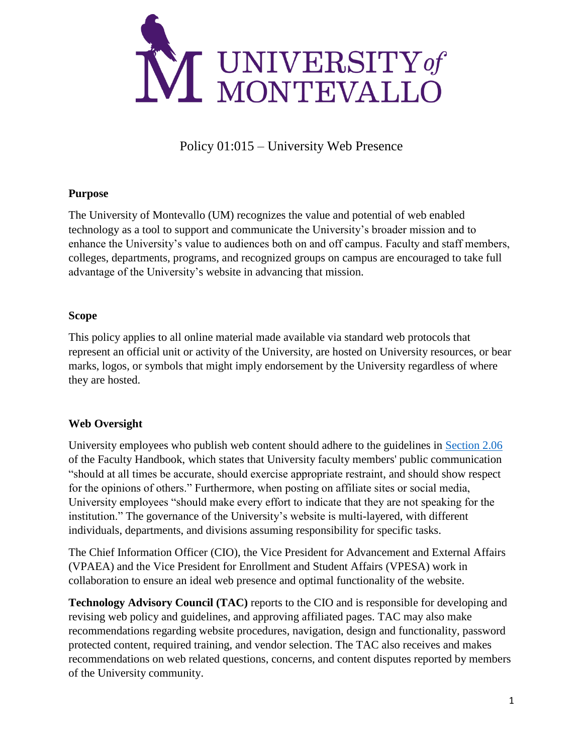

Policy 01:015 – University Web Presence

### **Purpose**

The University of Montevallo (UM) recognizes the value and potential of web enabled technology as a tool to support and communicate the University's broader mission and to enhance the University's value to audiences both on and off campus. Faculty and staff members, colleges, departments, programs, and recognized groups on campus are encouraged to take full advantage of the University's website in advancing that mission.

### **Scope**

This policy applies to all online material made available via standard web protocols that represent an official unit or activity of the University, are hosted on University resources, or bear marks, logos, or symbols that might imply endorsement by the University regardless of where they are hosted.

### **Web Oversight**

University employees who publish web content should adhere to the guidelines in [Section 2.06](https://montevallo.app.box.com/s/r0qi1stryuvc0dl0uix9vzvvbadv749n) of the Faculty Handbook, which states that University faculty members' public communication "should at all times be accurate, should exercise appropriate restraint, and should show respect for the opinions of others." Furthermore, when posting on affiliate sites or social media, University employees "should make every effort to indicate that they are not speaking for the institution." The governance of the University's website is multi-layered, with different individuals, departments, and divisions assuming responsibility for specific tasks.

The Chief Information Officer (CIO), the Vice President for Advancement and External Affairs (VPAEA) and the Vice President for Enrollment and Student Affairs (VPESA) work in collaboration to ensure an ideal web presence and optimal functionality of the website.

**Technology Advisory Council (TAC)** reports to the CIO and is responsible for developing and revising web policy and guidelines, and approving affiliated pages. TAC may also make recommendations regarding website procedures, navigation, design and functionality, password protected content, required training, and vendor selection. The TAC also receives and makes recommendations on web related questions, concerns, and content disputes reported by members of the University community.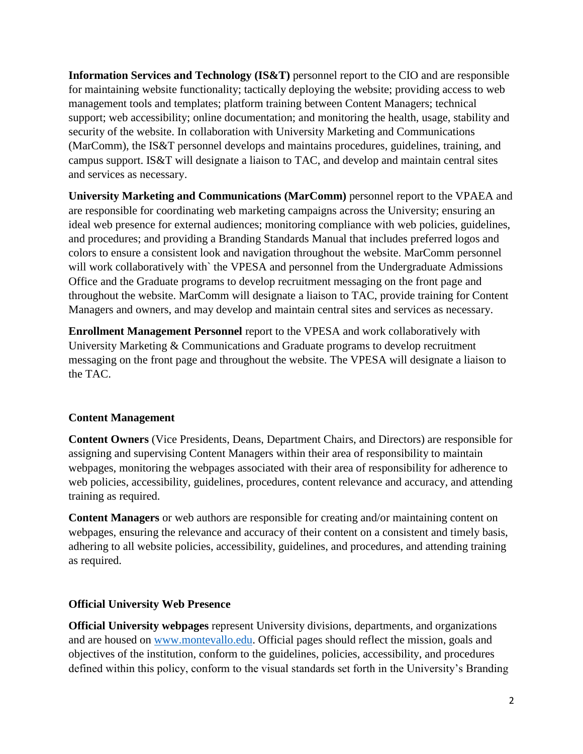**Information Services and Technology (IS&T)** personnel report to the CIO and are responsible for maintaining website functionality; tactically deploying the website; providing access to web management tools and templates; platform training between Content Managers; technical support; web accessibility; online documentation; and monitoring the health, usage, stability and security of the website. In collaboration with University Marketing and Communications (MarComm), the IS&T personnel develops and maintains procedures, guidelines, training, and campus support. IS&T will designate a liaison to TAC, and develop and maintain central sites and services as necessary.

**University Marketing and Communications (MarComm)** personnel report to the VPAEA and are responsible for coordinating web marketing campaigns across the University; ensuring an ideal web presence for external audiences; monitoring compliance with web policies, guidelines, and procedures; and providing a Branding Standards Manual that includes preferred logos and colors to ensure a consistent look and navigation throughout the website. MarComm personnel will work collaboratively with` the VPESA and personnel from the Undergraduate Admissions Office and the Graduate programs to develop recruitment messaging on the front page and throughout the website. MarComm will designate a liaison to TAC, provide training for Content Managers and owners, and may develop and maintain central sites and services as necessary.

**Enrollment Management Personnel** report to the VPESA and work collaboratively with University Marketing & Communications and Graduate programs to develop recruitment messaging on the front page and throughout the website. The VPESA will designate a liaison to the TAC.

### **Content Management**

**Content Owners** (Vice Presidents, Deans, Department Chairs, and Directors) are responsible for assigning and supervising Content Managers within their area of responsibility to maintain webpages, monitoring the webpages associated with their area of responsibility for adherence to web policies, accessibility, guidelines, procedures, content relevance and accuracy, and attending training as required.

**Content Managers** or web authors are responsible for creating and/or maintaining content on webpages, ensuring the relevance and accuracy of their content on a consistent and timely basis, adhering to all website policies, accessibility, guidelines, and procedures, and attending training as required.

### **Official University Web Presence**

**Official University webpages** represent University divisions, departments, and organizations and are housed on [www.montevallo.edu.](http://www.montevallo.edu/) Official pages should reflect the mission, goals and objectives of the institution, conform to the guidelines, policies, accessibility, and procedures defined within this policy, conform to the visual standards set forth in the University's Branding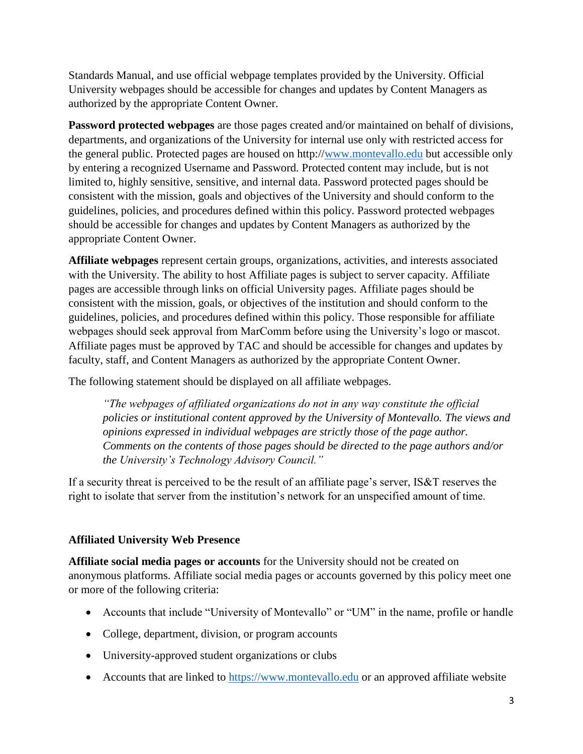Standards Manual, and use official webpage templates provided by the University. Official University webpages should be accessible for changes and updates by Content Managers as authorized by the appropriate Content Owner.

**Password protected webpages** are those pages created and/or maintained on behalf of divisions, departments, and organizations of the University for internal use only with restricted access for the general public. Protected pages are housed on http:/[/www.montevallo.edu](http://www.montevallo.edu/) but accessible only by entering a recognized Username and Password. Protected content may include, but is not limited to, highly sensitive, sensitive, and internal data. Password protected pages should be consistent with the mission, goals and objectives of the University and should conform to the guidelines, policies, and procedures defined within this policy. Password protected webpages should be accessible for changes and updates by Content Managers as authorized by the appropriate Content Owner.

**Affiliate webpages** represent certain groups, organizations, activities, and interests associated with the University. The ability to host Affiliate pages is subject to server capacity. Affiliate pages are accessible through links on official University pages. Affiliate pages should be consistent with the mission, goals, or objectives of the institution and should conform to the guidelines, policies, and procedures defined within this policy. Those responsible for affiliate webpages should seek approval from MarComm before using the University's logo or mascot. Affiliate pages must be approved by TAC and should be accessible for changes and updates by faculty, staff, and Content Managers as authorized by the appropriate Content Owner.

The following statement should be displayed on all affiliate webpages.

*"The webpages of affiliated organizations do not in any way constitute the official policies or institutional content approved by the University of Montevallo. The views and opinions expressed in individual webpages are strictly those of the page author. Comments on the contents of those pages should be directed to the page authors and/or the University's Technology Advisory Council."*

If a security threat is perceived to be the result of an affiliate page's server, IS&T reserves the right to isolate that server from the institution's network for an unspecified amount of time.

# **Affiliated University Web Presence**

**Affiliate social media pages or accounts** for the University should not be created on anonymous platforms. Affiliate social media pages or accounts governed by this policy meet one or more of the following criteria:

- Accounts that include "University of Montevallo" or "UM" in the name, profile or handle
- College, department, division, or program accounts
- University-approved student organizations or clubs
- Accounts that are linked to [https://www.montevallo.edu](https://www.montevallo.edu/) or an approved affiliate website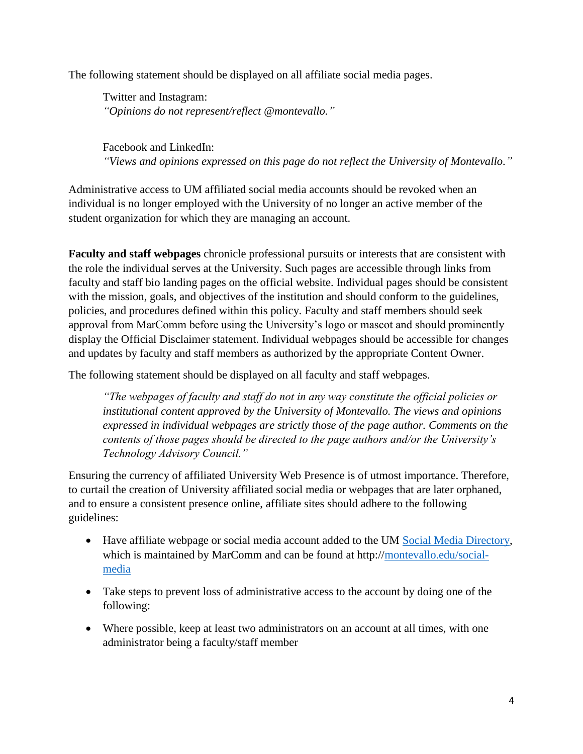The following statement should be displayed on all affiliate social media pages.

Twitter and Instagram: *"Opinions do not represent/reflect @montevallo."*

Facebook and LinkedIn: *"Views and opinions expressed on this page do not reflect the University of Montevallo."*

Administrative access to UM affiliated social media accounts should be revoked when an individual is no longer employed with the University of no longer an active member of the student organization for which they are managing an account.

**Faculty and staff webpages** chronicle professional pursuits or interests that are consistent with the role the individual serves at the University. Such pages are accessible through links from faculty and staff bio landing pages on the official website. Individual pages should be consistent with the mission, goals, and objectives of the institution and should conform to the guidelines, policies, and procedures defined within this policy. Faculty and staff members should seek approval from MarComm before using the University's logo or mascot and should prominently display the Official Disclaimer statement. Individual webpages should be accessible for changes and updates by faculty and staff members as authorized by the appropriate Content Owner.

The following statement should be displayed on all faculty and staff webpages.

*"The webpages of faculty and staff do not in any way constitute the official policies or institutional content approved by the University of Montevallo. The views and opinions expressed in individual webpages are strictly those of the page author. Comments on the contents of those pages should be directed to the page authors and/or the University's Technology Advisory Council."*

Ensuring the currency of affiliated University Web Presence is of utmost importance. Therefore, to curtail the creation of University affiliated social media or webpages that are later orphaned, and to ensure a consistent presence online, affiliate sites should adhere to the following guidelines:

- Have affiliate webpage or social media account added to the UM [Social Media Directory,](https://www.montevallo.edu/about-um/marcomm/pr-comm/social-media/) which is maintained by MarComm and can be found at http:/[/montevallo.edu/social](https://www.montevallo.edu/about-um/ur/pr-comm/social-media/)[media](https://www.montevallo.edu/about-um/ur/pr-comm/social-media/)
- Take steps to prevent loss of administrative access to the account by doing one of the following:
- Where possible, keep at least two administrators on an account at all times, with one administrator being a faculty/staff member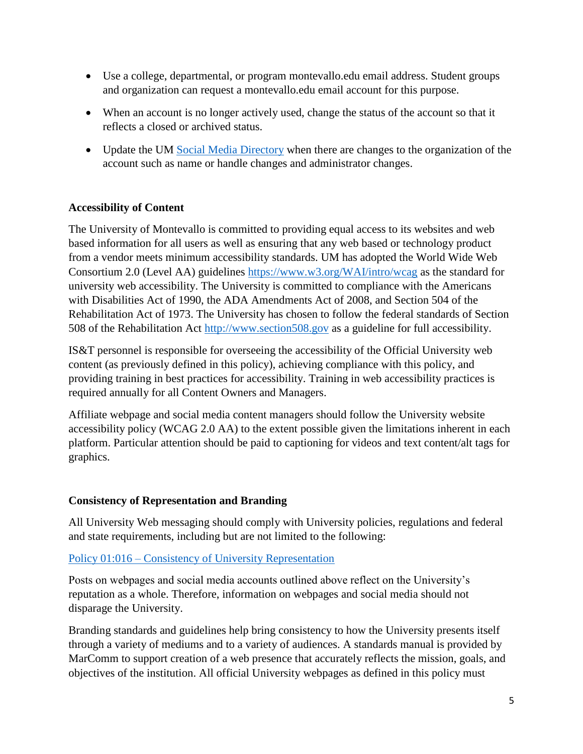- Use a college, departmental, or program montevallo.edu email address. Student groups and organization can request a montevallo.edu email account for this purpose.
- When an account is no longer actively used, change the status of the account so that it reflects a closed or archived status.
- Update the UM [Social Media Directory](https://www.montevallo.edu/about-um/marcomm/pr-comm/social-media/) when there are changes to the organization of the account such as name or handle changes and administrator changes.

## **Accessibility of Content**

The University of Montevallo is committed to providing equal access to its websites and web based information for all users as well as ensuring that any web based or technology product from a vendor meets minimum accessibility standards. UM has adopted the World Wide Web Consortium 2.0 (Level AA) guidelines<https://www.w3.org/WAI/intro/wcag> as the standard for university web accessibility. The University is committed to compliance with the Americans with Disabilities Act of 1990, the ADA Amendments Act of 2008, and Section 504 of the Rehabilitation Act of 1973. The University has chosen to follow the federal standards of Section 508 of the Rehabilitation Act [http://www.section508.gov](http://www.section508.gov/) as a guideline for full accessibility.

IS&T personnel is responsible for overseeing the accessibility of the Official University web content (as previously defined in this policy), achieving compliance with this policy, and providing training in best practices for accessibility. Training in web accessibility practices is required annually for all Content Owners and Managers.

Affiliate webpage and social media content managers should follow the University website accessibility policy (WCAG 2.0 AA) to the extent possible given the limitations inherent in each platform. Particular attention should be paid to captioning for videos and text content/alt tags for graphics.

### **Consistency of Representation and Branding**

All University Web messaging should comply with University policies, regulations and federal and state requirements, including but are not limited to the following:

### Policy 01:016 – [Consistency of University Representation](https://montevallo.app.box.com/s/uw8z5igks1cqj8rysr8gxpbfi1fz0v2k)

Posts on webpages and social media accounts outlined above reflect on the University's reputation as a whole. Therefore, information on webpages and social media should not disparage the University.

Branding standards and guidelines help bring consistency to how the University presents itself through a variety of mediums and to a variety of audiences. A standards manual is provided by MarComm to support creation of a web presence that accurately reflects the mission, goals, and objectives of the institution. All official University webpages as defined in this policy must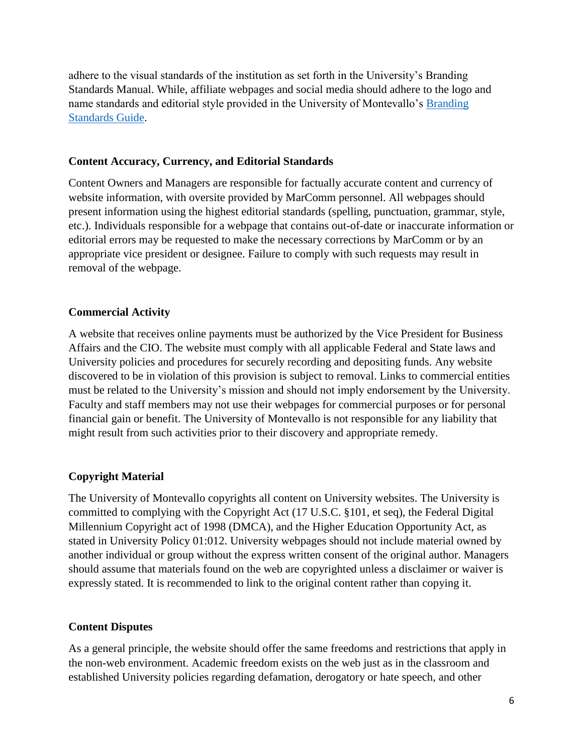adhere to the visual standards of the institution as set forth in the University's Branding Standards Manual. While, affiliate webpages and social media should adhere to the logo and name standards and editorial style provided in the University of Montevallo's [Branding](https://www.montevallo.edu/wp-content/uploads/2017/07/UM-Branding-Standards.pdf)  [Standards Guide.](https://www.montevallo.edu/wp-content/uploads/2017/07/UM-Branding-Standards.pdf)

#### **Content Accuracy, Currency, and Editorial Standards**

Content Owners and Managers are responsible for factually accurate content and currency of website information, with oversite provided by MarComm personnel. All webpages should present information using the highest editorial standards (spelling, punctuation, grammar, style, etc.). Individuals responsible for a webpage that contains out-of-date or inaccurate information or editorial errors may be requested to make the necessary corrections by MarComm or by an appropriate vice president or designee. Failure to comply with such requests may result in removal of the webpage.

#### **Commercial Activity**

A website that receives online payments must be authorized by the Vice President for Business Affairs and the CIO. The website must comply with all applicable Federal and State laws and University policies and procedures for securely recording and depositing funds. Any website discovered to be in violation of this provision is subject to removal. Links to commercial entities must be related to the University's mission and should not imply endorsement by the University. Faculty and staff members may not use their webpages for commercial purposes or for personal financial gain or benefit. The University of Montevallo is not responsible for any liability that might result from such activities prior to their discovery and appropriate remedy.

### **Copyright Material**

The University of Montevallo copyrights all content on University websites. The University is committed to complying with the Copyright Act (17 U.S.C. §101, et seq), the Federal Digital Millennium Copyright act of 1998 (DMCA), and the Higher Education Opportunity Act, as stated in University Policy 01:012. University webpages should not include material owned by another individual or group without the express written consent of the original author. Managers should assume that materials found on the web are copyrighted unless a disclaimer or waiver is expressly stated. It is recommended to link to the original content rather than copying it.

#### **Content Disputes**

As a general principle, the website should offer the same freedoms and restrictions that apply in the non-web environment. Academic freedom exists on the web just as in the classroom and established University policies regarding defamation, derogatory or hate speech, and other